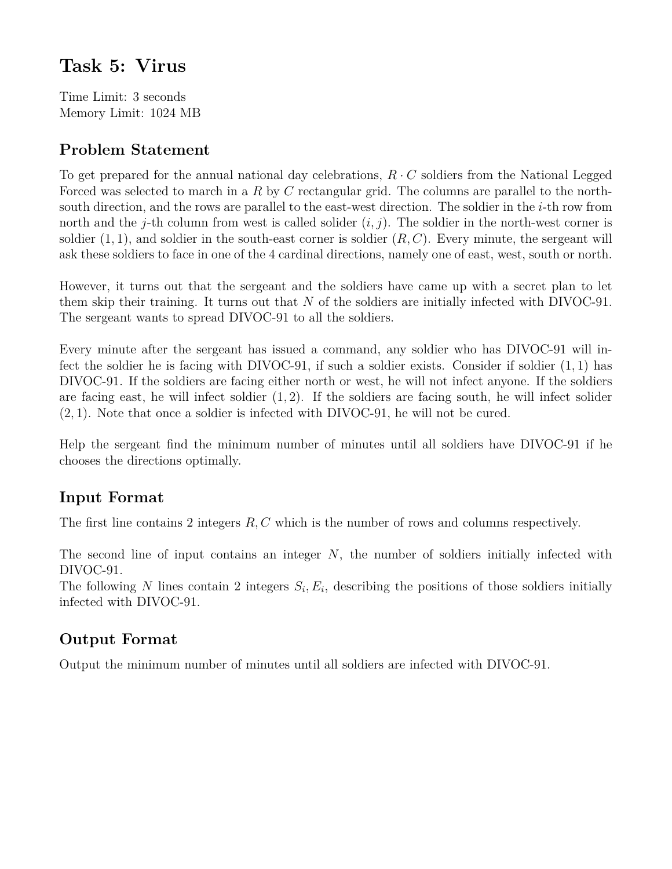# **Task 5: Virus**

Time Limit: 3 seconds Memory Limit: 1024 MB

# **Problem Statement**

To get prepared for the annual national day celebrations,  $R \cdot C$  soldiers from the National Legged Forced was selected to march in a *R* by *C* rectangular grid. The columns are parallel to the northsouth direction, and the rows are parallel to the east-west direction. The soldier in the *i*-th row from north and the *j*-th column from west is called solider  $(i, j)$ . The soldier in the north-west corner is soldier  $(1, 1)$ , and soldier in the south-east corner is soldier  $(R, C)$ . Every minute, the sergeant will ask these soldiers to face in one of the 4 cardinal directions, namely one of east, west, south or north.

However, it turns out that the sergeant and the soldiers have came up with a secret plan to let them skip their training. It turns out that *N* of the soldiers are initially infected with DIVOC-91. The sergeant wants to spread DIVOC-91 to all the soldiers.

Every minute after the sergeant has issued a command, any soldier who has DIVOC-91 will infect the soldier he is facing with DIVOC-91, if such a soldier exists. Consider if soldier (1*,* 1) has DIVOC-91. If the soldiers are facing either north or west, he will not infect anyone. If the soldiers are facing east, he will infect soldier (1*,* 2). If the soldiers are facing south, he will infect solider (2*,* 1). Note that once a soldier is infected with DIVOC-91, he will not be cured.

Help the sergeant find the minimum number of minutes until all soldiers have DIVOC-91 if he chooses the directions optimally.

## **Input Format**

The first line contains 2 integers *R, C* which is the number of rows and columns respectively.

The second line of input contains an integer *N*, the number of soldiers initially infected with DIVOC-91.

The following *N* lines contain 2 integers  $S_i, E_i$ , describing the positions of those soldiers initially infected with DIVOC-91.

## **Output Format**

Output the minimum number of minutes until all soldiers are infected with DIVOC-91.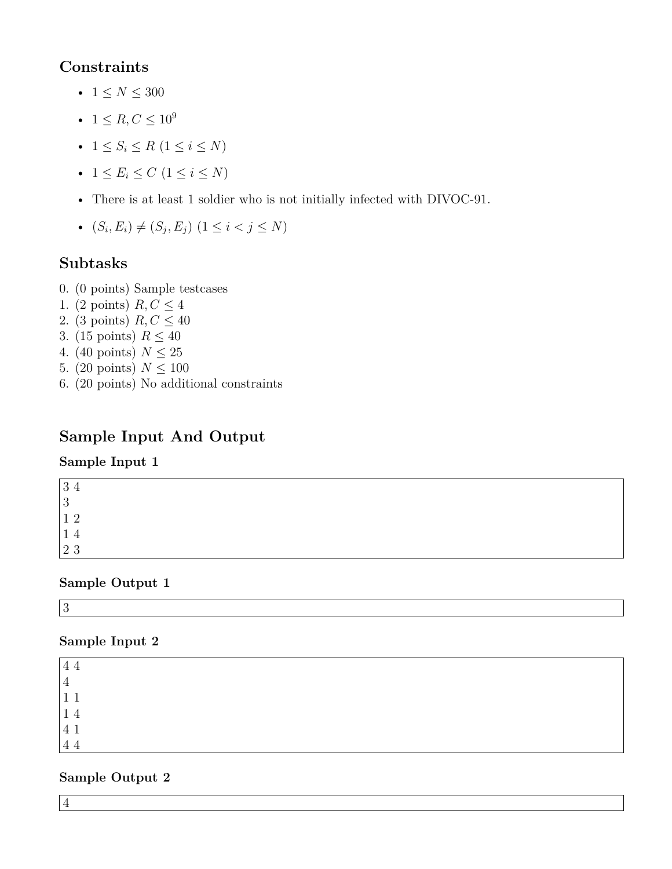### **Constraints**

- $1 \le N \le 300$
- $1 \le R, C \le 10^9$
- $1 \leq S_i \leq R \ (1 \leq i \leq N)$
- $1 \le E_i \le C \ (1 \le i \le N)$
- There is at least 1 soldier who is not initially infected with DIVOC-91.
- $(S_i, E_i) \neq (S_j, E_j) \ (1 \leq i < j \leq N)$

# **Subtasks**

- 0. (0 points) Sample testcases
- 1. (2 points)  $R, C \leq 4$
- 2. (3 points)  $R, C \leq 40$
- 3. (15 points)  $R \leq 40$
- 4. (40 points)  $N \leq 25$
- 5. (20 points)  $N < 100$
- 6. (20 points) No additional constraints

# **Sample Input And Output**

### **Sample Input 1**

| റ<br>್ರ.       |  |  |
|----------------|--|--|
| $\Omega$<br>್ರ |  |  |
|                |  |  |
|                |  |  |
| $2^{\circ}$    |  |  |

### **Sample Output 1**

3

### **Sample Input 2**

| 4              |  |  |
|----------------|--|--|
| $\overline{ }$ |  |  |
|                |  |  |
| 14             |  |  |
| $\overline{4}$ |  |  |
| 44             |  |  |

### **Sample Output 2**

4